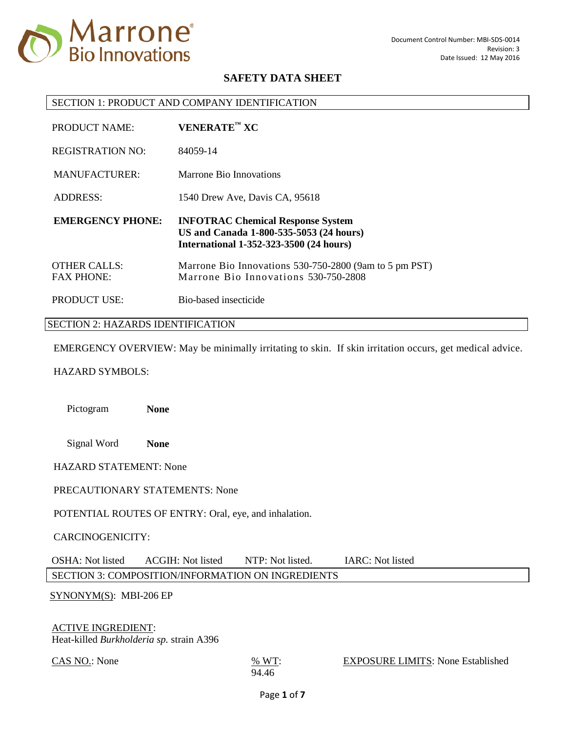

### SECTION 1: PRODUCT AND COMPANY IDENTIFICATION

| <b>PRODUCT NAME:</b>                     | $VENERATETM XC$                                                                                                                       |
|------------------------------------------|---------------------------------------------------------------------------------------------------------------------------------------|
| <b>REGISTRATION NO:</b>                  | 84059-14                                                                                                                              |
| MANUFACTURER:                            | Marrone Bio Innovations                                                                                                               |
| <b>ADDRESS:</b>                          | 1540 Drew Ave, Davis CA, 95618                                                                                                        |
|                                          |                                                                                                                                       |
| <b>EMERGENCY PHONE:</b>                  | <b>INFOTRAC Chemical Response System</b><br>US and Canada 1-800-535-5053 (24 hours)<br><b>International 1-352-323-3500 (24 hours)</b> |
| <b>OTHER CALLS:</b><br><b>FAX PHONE:</b> | Marrone Bio Innovations 530-750-2800 (9am to 5 pm PST)<br>Marrone Bio Innovations 530-750-2808                                        |

#### SECTION 2: HAZARDS IDENTIFICATION

EMERGENCY OVERVIEW: May be minimally irritating to skin. If skin irritation occurs, get medical advice.

## HAZARD SYMBOLS:

Pictogram **None**

Signal Word **None**

HAZARD STATEMENT: None

### PRECAUTIONARY STATEMENTS: None

POTENTIAL ROUTES OF ENTRY: Oral, eye, and inhalation.

## CARCINOGENICITY:

OSHA: Not listed ACGIH: Not listed NTP: Not listed. IARC: Not listed SECTION 3: COMPOSITION/INFORMATION ON INGREDIENTS

### SYNONYM(S): MBI-206 EP

### ACTIVE INGREDIENT:

Heat-killed *Burkholderia sp.* strain A396

 $\frac{\text{CAS NO.}}{\text{W T}}$ : None  $\frac{\% \text{ WT}}{\text{S}}$ :

### EXPOSURE LIMITS: None Established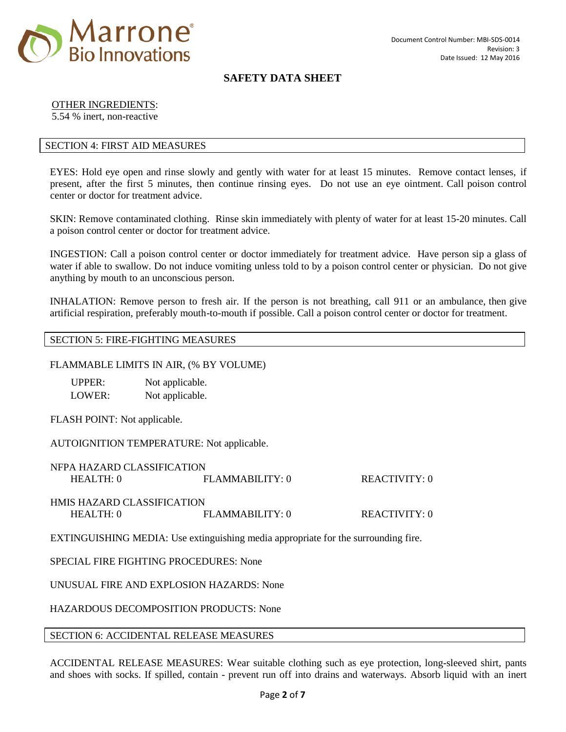

# OTHER INGREDIENTS:

5.54 % inert, non-reactive

# SECTION 4: FIRST AID MEASURES

EYES: Hold eye open and rinse slowly and gently with water for at least 15 minutes. Remove contact lenses, if present, after the first 5 minutes, then continue rinsing eyes. Do not use an eye ointment. Call poison control center or doctor for treatment advice.

SKIN: Remove contaminated clothing. Rinse skin immediately with plenty of water for at least 15-20 minutes. Call a poison control center or doctor for treatment advice.

INGESTION: Call a poison control center or doctor immediately for treatment advice. Have person sip a glass of water if able to swallow. Do not induce vomiting unless told to by a poison control center or physician. Do not give anything by mouth to an unconscious person.

INHALATION: Remove person to fresh air. If the person is not breathing, call 911 or an ambulance, then give artificial respiration, preferably mouth-to-mouth if possible. Call a poison control center or doctor for treatment.

### SECTION 5: FIRE-FIGHTING MEASURES

### FLAMMABLE LIMITS IN AIR, (% BY VOLUME)

| UPPER: | Not applicable. |
|--------|-----------------|
| LOWER: | Not applicable. |

FLASH POINT: Not applicable.

AUTOIGNITION TEMPERATURE: Not applicable.

| NFPA HAZARD CLASSIFICATION        |                  |               |
|-----------------------------------|------------------|---------------|
| HEAITH:0                          | FLAMMABILITY: 0  | REACTIVITY: 0 |
|                                   |                  |               |
| <b>HMIS HAZARD CLASSIFICATION</b> |                  |               |
| HEAITH:0                          | FI.AMMABILITY: 0 | REACTIVITY: 0 |
|                                   |                  |               |

EXTINGUISHING MEDIA: Use extinguishing media appropriate for the surrounding fire.

# SPECIAL FIRE FIGHTING PROCEDURES: None

UNUSUAL FIRE AND EXPLOSION HAZARDS: None

HAZARDOUS DECOMPOSITION PRODUCTS: None

### SECTION 6: ACCIDENTAL RELEASE MEASURES

ACCIDENTAL RELEASE MEASURES: Wear suitable clothing such as eye protection, long-sleeved shirt, pants and shoes with socks. If spilled, contain - prevent run off into drains and waterways. Absorb liquid with an inert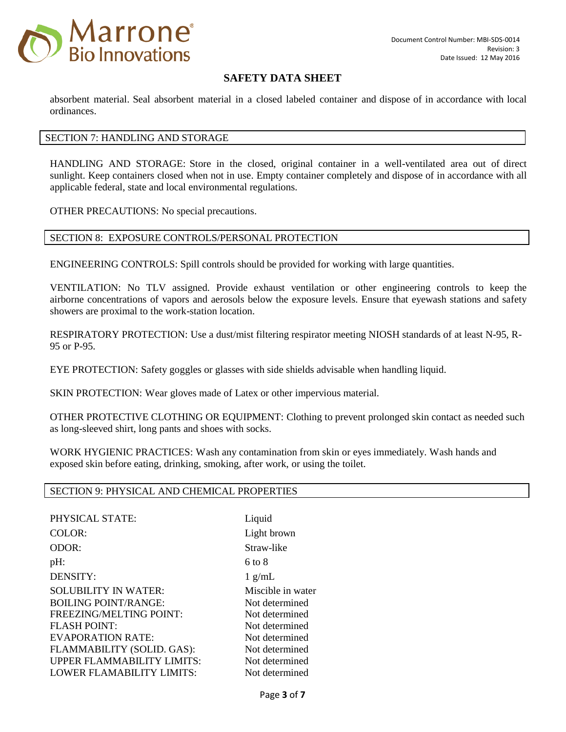

absorbent material. Seal absorbent material in a closed labeled container and dispose of in accordance with local ordinances.

# SECTION 7: HANDLING AND STORAGE

HANDLING AND STORAGE: Store in the closed, original container in a well-ventilated area out of direct sunlight. Keep containers closed when not in use. Empty container completely and dispose of in accordance with all applicable federal, state and local environmental regulations.

OTHER PRECAUTIONS: No special precautions.

## SECTION 8: EXPOSURE CONTROLS/PERSONAL PROTECTION

ENGINEERING CONTROLS: Spill controls should be provided for working with large quantities.

VENTILATION: No TLV assigned. Provide exhaust ventilation or other engineering controls to keep the airborne concentrations of vapors and aerosols below the exposure levels. Ensure that eyewash stations and safety showers are proximal to the work-station location.

RESPIRATORY PROTECTION: Use a dust/mist filtering respirator meeting NIOSH standards of at least N-95, R-95 or P-95.

EYE PROTECTION: Safety goggles or glasses with side shields advisable when handling liquid.

SKIN PROTECTION: Wear gloves made of Latex or other impervious material.

OTHER PROTECTIVE CLOTHING OR EQUIPMENT: Clothing to prevent prolonged skin contact as needed such as long-sleeved shirt, long pants and shoes with socks.

WORK HYGIENIC PRACTICES: Wash any contamination from skin or eyes immediately. Wash hands and exposed skin before eating, drinking, smoking, after work, or using the toilet.

### SECTION 9: PHYSICAL AND CHEMICAL PROPERTIES

PHYSICAL STATE: Liquid COLOR: Light brown ODOR: Straw-like  $pH:$  6 to 8 DENSITY: 1 g/mL SOLUBILITY IN WATER: Miscible in water BOILING POINT/RANGE: Not determined FREEZING/MELTING POINT: Not determined FLASH POINT: Not determined EVAPORATION RATE: Not determined FLAMMABILITY (SOLID. GAS): Not determined UPPER FLAMMABILITY LIMITS: Not determined LOWER FLAMABILITY LIMITS: Not determined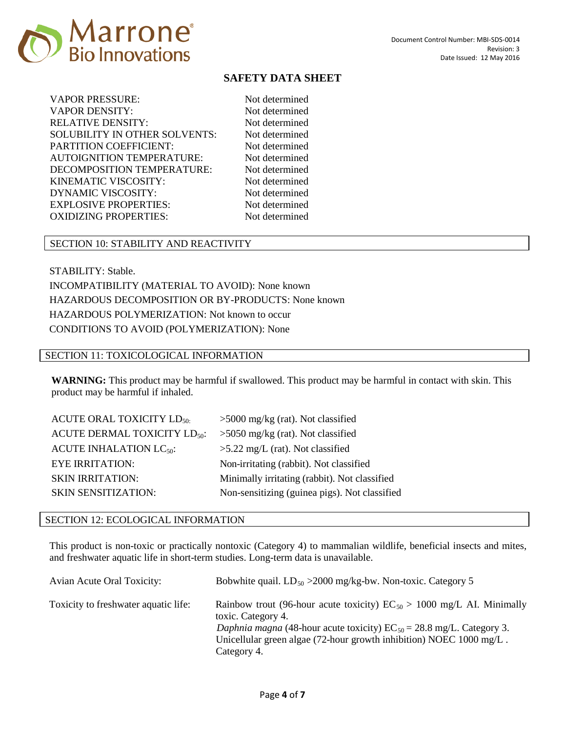

Not determined Not determined Not determined Not determined Not determined Not determined Not determined Not determined Not determined Not determined Not determined

# SECTION 10: STABILITY AND REACTIVITY

STABILITY: Stable. INCOMPATIBILITY (MATERIAL TO AVOID): None known HAZARDOUS DECOMPOSITION OR BY-PRODUCTS: None known HAZARDOUS POLYMERIZATION: Not known to occur CONDITIONS TO AVOID (POLYMERIZATION): None

## SECTION 11: TOXICOLOGICAL INFORMATION

**WARNING:** This product may be harmful if swallowed. This product may be harmful in contact with skin. This product may be harmful if inhaled.

| <b>ACUTE ORAL TOXICITY LD<sub>50</sub></b> | $>5000$ mg/kg (rat). Not classified           |
|--------------------------------------------|-----------------------------------------------|
| ACUTE DERMAL TOXICITY LD <sub>50</sub> :   | $>5050$ mg/kg (rat). Not classified           |
| ACUTE INHALATION $LC_{50}$ :               | $>5.22$ mg/L (rat). Not classified            |
| <b>EYE IRRITATION:</b>                     | Non-irritating (rabbit). Not classified       |
| <b>SKIN IRRITATION:</b>                    | Minimally irritating (rabbit). Not classified |
| <b>SKIN SENSITIZATION:</b>                 | Non-sensitizing (guinea pigs). Not classified |

## SECTION 12: ECOLOGICAL INFORMATION

This product is non-toxic or practically nontoxic (Category 4) to mammalian wildlife, beneficial insects and mites, and freshwater aquatic life in short-term studies. Long-term data is unavailable.

| Avian Acute Oral Toxicity:           | Bobwhite quail. $LD_{50} > 2000$ mg/kg-bw. Non-toxic. Category 5                                                                                                                                                                                                    |
|--------------------------------------|---------------------------------------------------------------------------------------------------------------------------------------------------------------------------------------------------------------------------------------------------------------------|
| Toxicity to freshwater aquatic life: | Rainbow trout (96-hour acute toxicity) $EC_{50} > 1000$ mg/L AI. Minimally<br>toxic. Category 4.<br>Daphnia magna (48-hour acute toxicity) $EC_{50} = 28.8$ mg/L. Category 3.<br>Unicellular green algae (72-hour growth inhibition) NOEC 1000 mg/L.<br>Category 4. |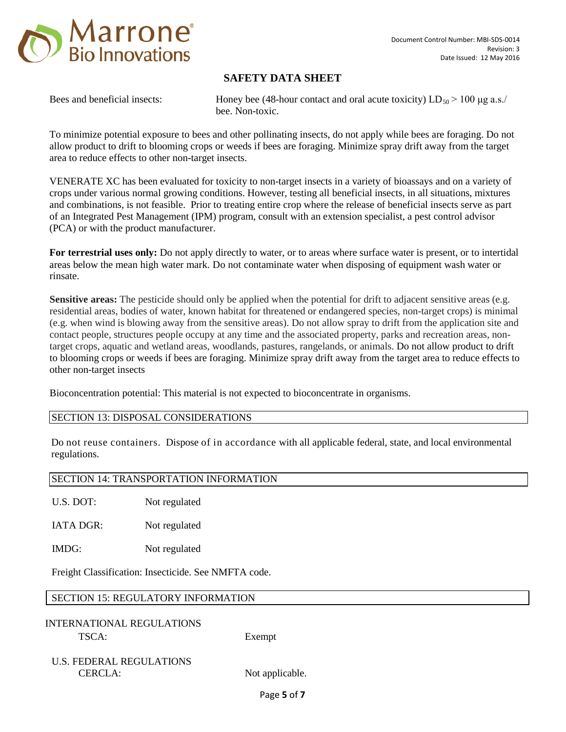

Bees and beneficial insects: Honey bee (48-hour contact and oral acute toxicity)  $LD_{50} > 100 \text{ µg a.s.}$ bee. Non-toxic.

To minimize potential exposure to bees and other pollinating insects, do not apply while bees are foraging. Do not allow product to drift to blooming crops or weeds if bees are foraging. Minimize spray drift away from the target area to reduce effects to other non-target insects.

VENERATE XC has been evaluated for toxicity to non-target insects in a variety of bioassays and on a variety of crops under various normal growing conditions. However, testing all beneficial insects, in all situations, mixtures and combinations, is not feasible. Prior to treating entire crop where the release of beneficial insects serve as part of an Integrated Pest Management (IPM) program, consult with an extension specialist, a pest control advisor (PCA) or with the product manufacturer.

**For terrestrial uses only:** Do not apply directly to water, or to areas where surface water is present, or to intertidal areas below the mean high water mark. Do not contaminate water when disposing of equipment wash water or rinsate.

**Sensitive areas:** The pesticide should only be applied when the potential for drift to adjacent sensitive areas (e.g. residential areas, bodies of water, known habitat for threatened or endangered species, non-target crops) is minimal (e.g. when wind is blowing away from the sensitive areas). Do not allow spray to drift from the application site and contact people, structures people occupy at any time and the associated property, parks and recreation areas, nontarget crops, aquatic and wetland areas, woodlands, pastures, rangelands, or animals. Do not allow product to drift to blooming crops or weeds if bees are foraging. Minimize spray drift away from the target area to reduce effects to other non-target insects

Bioconcentration potential: This material is not expected to bioconcentrate in organisms.

# SECTION 13: DISPOSAL CONSIDERATIONS

Do not reuse containers. Dispose of in accordance with all applicable federal, state, and local environmental regulations.

### SECTION 14: TRANSPORTATION INFORMATION

U.S. DOT: Not regulated

IATA DGR: Not regulated

IMDG: Not regulated

Freight Classification: Insecticide. See NMFTA code.

# SECTION 15: REGULATORY INFORMATION

INTERNATIONAL REGULATIONS TSCA: Exempt

U.S. FEDERAL REGULATIONS CERCLA: Not applicable.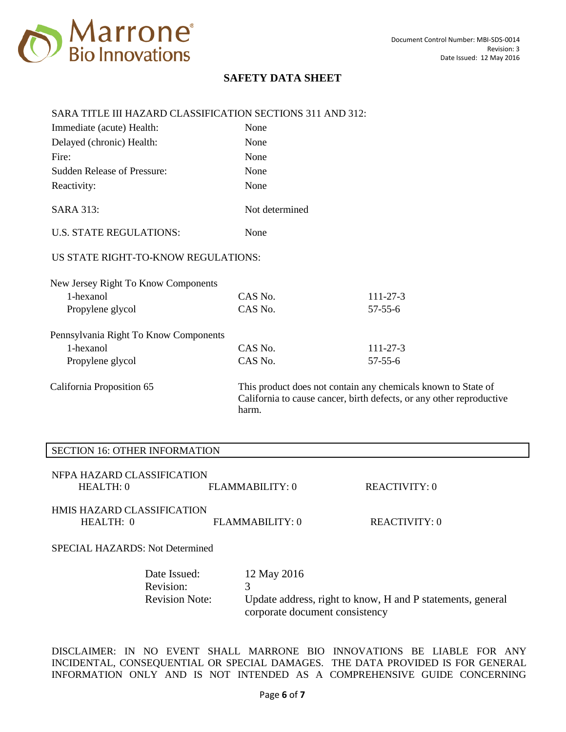

# SARA TITLE III HAZARD CLASSIFICATION SECTIONS 311 AND 312:

| Immediate (acute) Health:             | None           |                                                                                                                                       |
|---------------------------------------|----------------|---------------------------------------------------------------------------------------------------------------------------------------|
| Delayed (chronic) Health:             | None           |                                                                                                                                       |
| Fire:                                 | None           |                                                                                                                                       |
| <b>Sudden Release of Pressure:</b>    | None           |                                                                                                                                       |
| Reactivity:                           | None           |                                                                                                                                       |
| <b>SARA 313:</b>                      | Not determined |                                                                                                                                       |
| <b>U.S. STATE REGULATIONS:</b>        | None           |                                                                                                                                       |
| US STATE RIGHT-TO-KNOW REGULATIONS:   |                |                                                                                                                                       |
| New Jersey Right To Know Components   |                |                                                                                                                                       |
| 1-hexanol                             | CAS No.        | $111 - 27 - 3$                                                                                                                        |
| Propylene glycol                      | CAS No.        | $57 - 55 - 6$                                                                                                                         |
| Pennsylvania Right To Know Components |                |                                                                                                                                       |
| 1-hexanol                             | CAS No.        | $111 - 27 - 3$                                                                                                                        |
| Propylene glycol                      | CAS No.        | $57 - 55 - 6$                                                                                                                         |
| California Proposition 65             | harm.          | This product does not contain any chemicals known to State of<br>California to cause cancer, birth defects, or any other reproductive |

## SECTION 16: OTHER INFORMATION

| NFPA HAZARD CLASSIFICATION |                 |
|----------------------------|-----------------|
| HEALTH: 0                  | FLAMMABILITY: 0 |

# HMIS HAZARD CLASSIFICATION HEALTH: 0 FLAMMABILITY: 0 REACTIVITY: 0

SPECIAL HAZARDS: Not Determined

| Date Issued:          | 12 May 2016                                                |
|-----------------------|------------------------------------------------------------|
| Revision:             |                                                            |
| <b>Revision Note:</b> | Update address, right to know, H and P statements, general |
|                       | corporate document consistency                             |

REACTIVITY: 0

DISCLAIMER: IN NO EVENT SHALL MARRONE BIO INNOVATIONS BE LIABLE FOR ANY INCIDENTAL, CONSEQUENTIAL OR SPECIAL DAMAGES. THE DATA PROVIDED IS FOR GENERAL INFORMATION ONLY AND IS NOT INTENDED AS A COMPREHENSIVE GUIDE CONCERNING